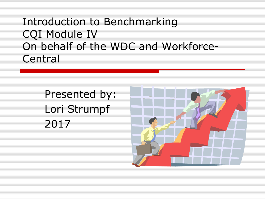#### Introduction to Benchmarking CQI Module IV On behalf of the WDC and Workforce-Central

Presented by: Lori Strumpf 2017

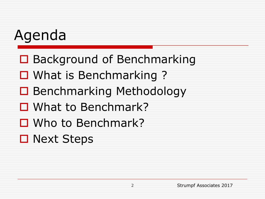#### Agenda

- **□** Background of Benchmarking
- □ What is Benchmarking ?
- **□ Benchmarking Methodology**
- What to Benchmark?
- Who to Benchmark?
- **□ Next Steps**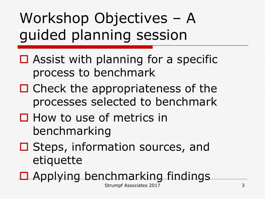## Workshop Objectives – A guided planning session

- $\Box$  Assist with planning for a specific process to benchmark
- $\Box$  Check the appropriateness of the processes selected to benchmark
- $\Box$  How to use of metrics in benchmarking
- **□ Steps, information sources, and** etiquette
- $\Box$  Applying benchmarking findings

Strumpf Associates 2017 3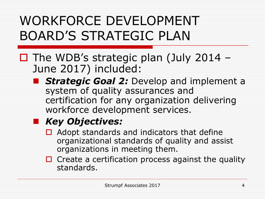#### WORKFORCE DEVELOPMENT BOARD'S STRATEGIC PLAN

- $\Box$  The WDB's strategic plan (July 2014 June 2017) included:
	- **F** Strategic Goal 2: Develop and implement a system of quality assurances and certification for any organization delivering workforce development services.

#### *Key Objectives:*

- $\Box$  Adopt standards and indicators that define organizational standards of quality and assist organizations in meeting them.
- $\Box$  Create a certification process against the quality standards.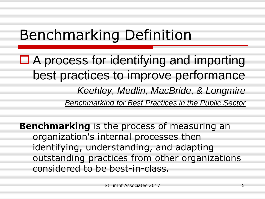#### Benchmarking Definition

 $\Box$  A process for identifying and importing best practices to improve performance *Keehley, Medlin, MacBride, & Longmire Benchmarking for Best Practices in the Public Sector*

**Benchmarking** is the process of measuring an organization's internal processes then identifying, understanding, and adapting outstanding practices from other organizations considered to be best-in-class.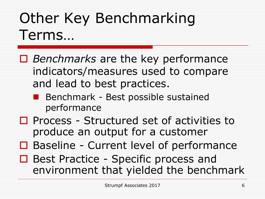## Other Key Benchmarking Terms…

- *Benchmarks* are the key performance indicators/measures used to compare and lead to best practices.
	- **Benchmark Best possible sustained** performance
- $\Box$  Process Structured set of activities to produce an output for a customer
- **□** Baseline Current level of performance
- □ Best Practice Specific process and environment that yielded the benchmark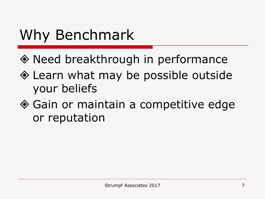## Why Benchmark

- Need breakthrough in performance
- Learn what may be possible outside your beliefs
- ◆ Gain or maintain a competitive edge or reputation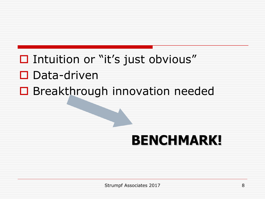- $\Box$  Intuition or "it's just obvious"  $\square$  Data-driven
- **□** Breakthrough innovation needed

#### **BENCHMARK!**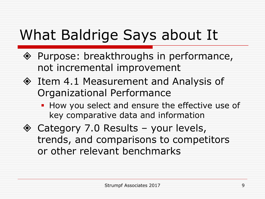#### What Baldrige Says about It

- ◆ Purpose: breakthroughs in performance, not incremental improvement
- ◆ Item 4.1 Measurement and Analysis of Organizational Performance
	- **How you select and ensure the effective use of** key comparative data and information
- $\diamond$  Category 7.0 Results your levels, trends, and comparisons to competitors or other relevant benchmarks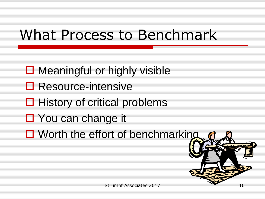#### What Process to Benchmark

- $\Box$  Meaningful or highly visible
- **□** Resource-intensive
- $\Box$  History of critical problems
- You can change it
- $\Box$  Worth the effort of benchmarking

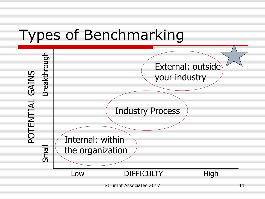#### Types of Benchmarking

| GAINS<br>$\blacktriangleleft$<br>Е<br>П | Breakthrough  | External: outside<br>your industry<br><b>Industry Process</b><br>Internal: within<br>the organization |                   |      |
|-----------------------------------------|---------------|-------------------------------------------------------------------------------------------------------|-------------------|------|
|                                         | <b>Illews</b> |                                                                                                       |                   |      |
|                                         |               | Low                                                                                                   | <b>DIFFICULTY</b> | High |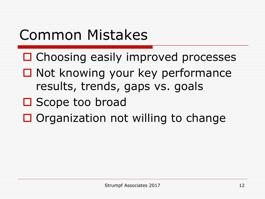#### Common Mistakes

- □ Choosing easily improved processes
- $\Box$  Not knowing your key performance results, trends, gaps vs. goals
- □ Scope too broad
- $\Box$  Organization not willing to change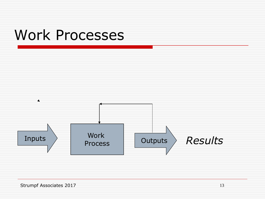#### Work Processes

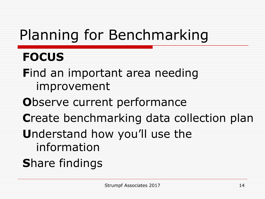## Planning for Benchmarking

#### **FOCUS**

**F**ind an important area needing improvement

- **O**bserve current performance
- **C**reate benchmarking data collection plan
- **U**nderstand how you'll use the
	- information
- **S**hare findings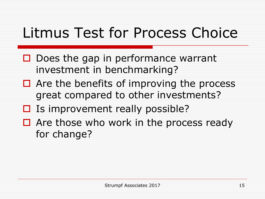#### Litmus Test for Process Choice

- $\Box$  Does the gap in performance warrant investment in benchmarking?
- $\Box$  Are the benefits of improving the process great compared to other investments?
- $\Box$  Is improvement really possible?
- $\Box$  Are those who work in the process ready for change?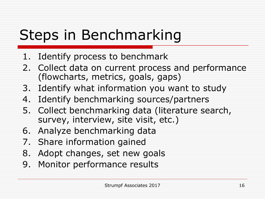## Steps in Benchmarking

- 1. Identify process to benchmark
- 2. Collect data on current process and performance (flowcharts, metrics, goals, gaps)
- 3. Identify what information you want to study
- 4. Identify benchmarking sources/partners
- 5. Collect benchmarking data (literature search, survey, interview, site visit, etc.)
- 6. Analyze benchmarking data
- 7. Share information gained
- 8. Adopt changes, set new goals
- 9. Monitor performance results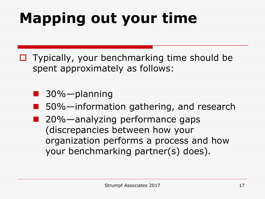## **Mapping out your time**

- $\Box$  Typically, your benchmarking time should be spent approximately as follows:
	- 30%—planning
		- 50%—information gathering, and research
	- 20%—analyzing performance gaps (discrepancies between how your organization performs a process and how your benchmarking partner(s) does).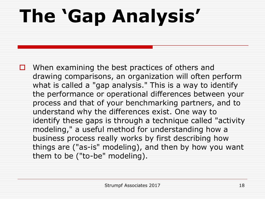# **The 'Gap Analysis'**

 $\Box$  When examining the best practices of others and drawing comparisons, an organization will often perform what is called a "gap analysis." This is a way to identify the performance or operational differences between your process and that of your benchmarking partners, and to understand why the differences exist. One way to identify these gaps is through a technique called "activity modeling," a useful method for understanding how a business process really works by first describing how things are ("as-is" modeling), and then by how you want them to be ("to-be" modeling).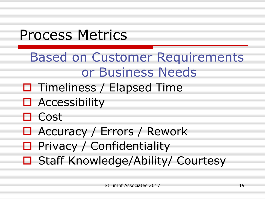#### Process Metrics

- Based on Customer Requirements or Business Needs
- $\Box$  Timeliness / Elapsed Time
- □ Accessibility
- $\Box$  Cost
- Accuracy / Errors / Rework
- $\Box$  Privacy / Confidentiality
- □ Staff Knowledge/Ability/ Courtesy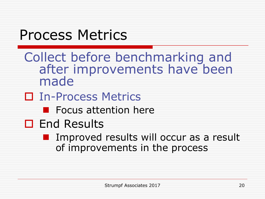#### Process Metrics

- Collect before benchmarking and after improvements have been made
- In-Process Metrics
	- **Focus attention here**
- □ End Results
	- **I** Improved results will occur as a result of improvements in the process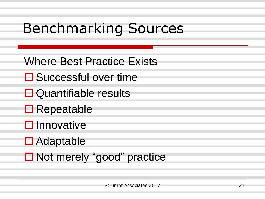## Benchmarking Sources

- Where Best Practice Exists
- **□** Successful over time
- **□** Quantifiable results
- **□** Repeatable
- $\square$  Innovative
- **□** Adaptable
- Not merely "good" practice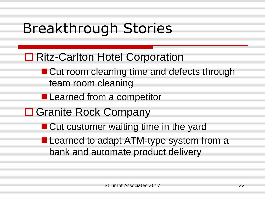## Breakthrough Stories

- **□ Ritz-Carlton Hotel Corporation** 
	- Cut room cleaning time and defects through team room cleaning
	- **Learned from a competitor**
- **□ Granite Rock Company** 
	- **Cut customer waiting time in the yard**
	- **Learned to adapt ATM-type system from a** bank and automate product delivery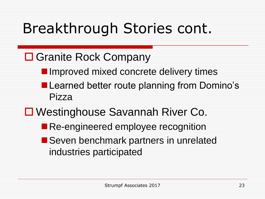## Breakthrough Stories cont.

#### **□ Granite Rock Company**

- **Independent Improved mixed concrete delivery times**
- **Learned better route planning from Domino's** Pizza
- Westinghouse Savannah River Co.
	- **Re-engineered employee recognition**
	- Seven benchmark partners in unrelated industries participated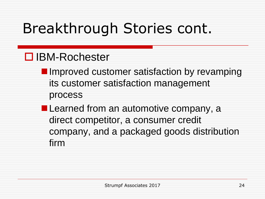## Breakthrough Stories cont.

#### **□ IBM-Rochester**

- **I** Improved customer satisfaction by revamping its customer satisfaction management process
- **Learned from an automotive company, a** direct competitor, a consumer credit company, and a packaged goods distribution firm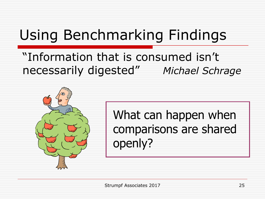#### Using Benchmarking Findings

#### "Information that is consumed isn't necessarily digested" *Michael Schrage*



#### What can happen when comparisons are shared openly?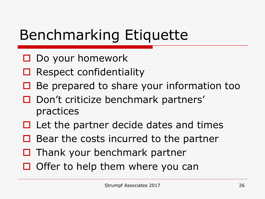## Benchmarking Etiquette

- $\Box$  Do your homework
- $\Box$  Respect confidentiality
- $\Box$  Be prepared to share your information too
- □ Don't criticize benchmark partners' practices
- $\Box$  Let the partner decide dates and times
- $\Box$  Bear the costs incurred to the partner
- $\Box$  Thank your benchmark partner
- $\Box$  Offer to help them where you can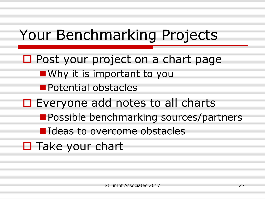## Your Benchmarking Projects

 $\Box$  Post your project on a chart page **Notable Why it is important to you Potential obstacles** □ Everyone add notes to all charts **Possible benchmarking sources/partners IDEAS TO OVERCOME Obstacles** □ Take your chart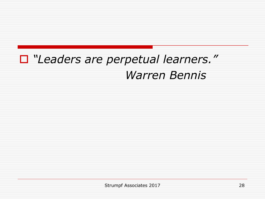#### *"Leaders are perpetual learners." Warren Bennis*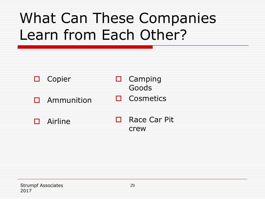## What Can These Companies Learn from Each Other?

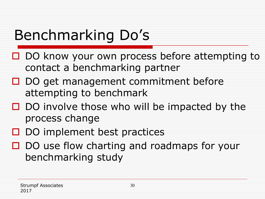## Benchmarking Do's

- □ DO know your own process before attempting to contact a benchmarking partner
- $\Box$  DO get management commitment before attempting to benchmark
- $\Box$  DO involve those who will be impacted by the process change
- $\Box$  DO implement best practices
- $\Box$  DO use flow charting and roadmaps for your benchmarking study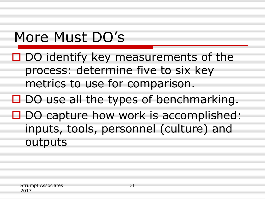#### More Must DO's

- $\Box$  DO identify key measurements of the process: determine five to six key metrics to use for comparison.
- $\square$  DO use all the types of benchmarking.
- $\Box$  DO capture how work is accomplished: inputs, tools, personnel (culture) and outputs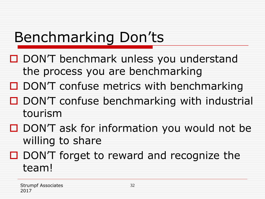## Benchmarking Don'ts

- □ DON'T benchmark unless you understand the process you are benchmarking
- $\Box$  DON'T confuse metrics with benchmarking
- $\Box$  DON'T confuse benchmarking with industrial tourism
- $\Box$  DON'T ask for information you would not be willing to share
- $\Box$  DON'T forget to reward and recognize the team!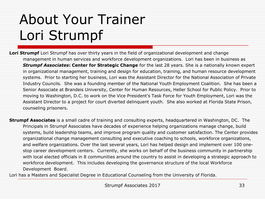#### About Your Trainer Lori Strumpf

**Lori Strumpf** Lori Strumpf has over thirty years in the field of organizational development and change management in human services and workforce development organizations. Lori has been in business as *Strumpf Associates***: Center for Strategic Change** for the last 28 years. She is a nationally known expert in organizational management, training and design for education, training, and human resource development systems. Prior to starting her business, Lori was the Assistant Director for the National Association of Private Industry Councils. She was a founding member of the National Youth Employment Coalition. She has been a Senior Associate at Brandeis University, Center for Human Resources, Heller School for Public Policy. Prior to moving to Washington, D.C. to work on the Vice President's Task Force for Youth Employment, Lori was the Assistant Director to a project for court diverted delinquent youth. She also worked at Florida State Prison, counseling prisoners.

**Strumpf Associates** is a small cadre of training and consulting experts, headquartered in Washington, DC. The Principals in Strumpf Associates have decades of experience helping organizations manage change, build systems, build leadership teams, and improve program quality and customer satisfaction. The Center provides organizational change management consulting and executive coaching to schools, workforce organizations, and welfare organizations. Over the last several years, Lori has helped design and implement over 100 onestop career development centers. Currently, she works on behalf of the business community in partnership with local elected officials in 8 communities around the country to assist in developing a strategic approach to workforce development. This includes developing the governance structure of the local Workforce Development Board.

Lori has a Masters and Specialist Degree in Educational Counseling from the University of Florida.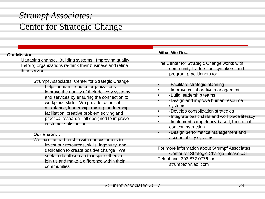#### *Strumpf Associates:* Center for Strategic Change

#### **Our Mission...**

Managing change. Building systems. Improving quality. Helping organizations re-think their business and refine their services.

> Strumpf Associates: Center for Strategic Change helps human resource organizations improve the quality of their delivery systems and services by ensuring the connection to workplace skills. We provide technical assistance, leadership training, partnership facilitation, creative problem solving and practical research - all designed to improve customer satisfaction.

#### **Our Vision…**

We excel at partnership with our customers to invest our resources, skills, ingenuity, and dedication to create positive change. We seek to do all we can to inspire others to join us and make a difference within their communities

#### **What We Do...**

- The Center for Strategic Change works with community leaders, policymakers, and program practitioners to:
- -Facilitate strategic planning
- - Improve collaborative management
- -Build leadership teams
- - Design and improve human resource systems
- -Develop consolidation strategies
- -Integrate basic skills and workplace literacy
- -Implement competency-based, functional context instruction
- -Design performance management and accountability systems

For more information about Strumpf Associates: Center for Strategic Change, please call. Telephone: 202.872.0776 or strumpfctr@aol.com